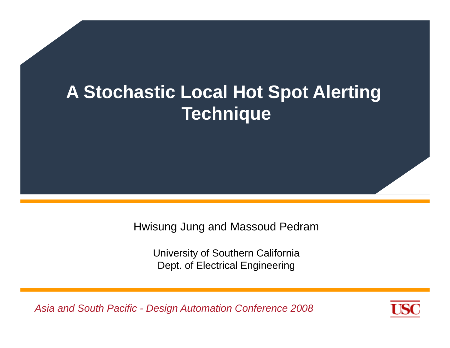# **A Stochastic Local Hot Spot Alerting T hi ec h nique**

Hwisung Jung and Massoud Pedram

University of Southern California Dept. of Electrical Engineering

*Asia and South Pacific - Design Automation Conference 2008*

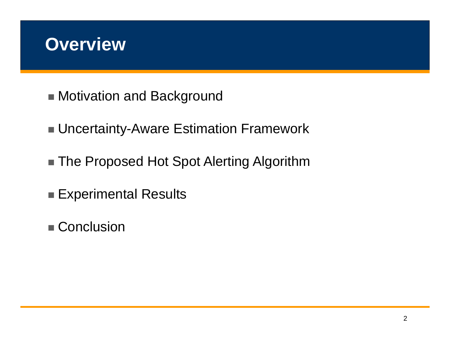## **Overview**

- Motivation and Background
- Uncertainty-Aware Estimation Framework
- The Proposed Hot Spot Alerting Algorithm
- Experimental Results
- Conclusion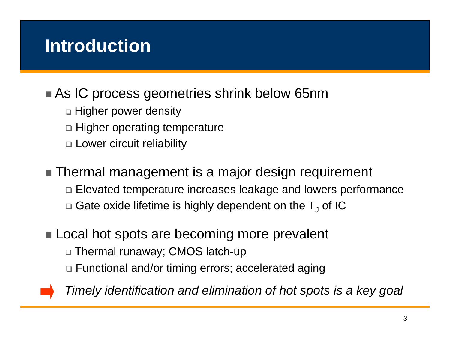# **Introduction**

## ■ As IC process geometries shrink below 65nm

- $\Box$  Higher power density
- □ Higher operating temperature
- Lower circuit reliability
- Thermal management is a major design requirement
	- Elevated temperature increases leakage and lowers performance
	- $\Box$  Gate oxide lifetime is highly dependent on the  ${\sf T}_{\sf J}$  of IC

### $\blacksquare$  Local hot spots are becoming more prevalent

- Thermal runaway; CMOS latch-up
- Functional and/or timing errors; accelerated aging



*Timely identification and elimination of hot spots is a key goal*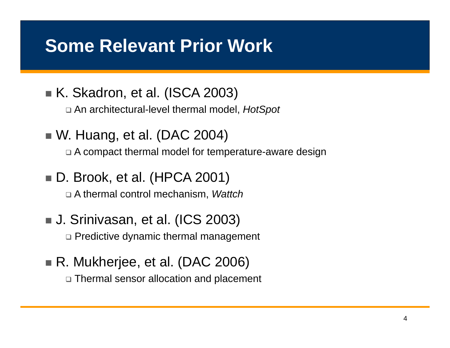## **Some Relevant Prior Work**

- K. Skadron, et al. (ISCA 2003)
	- □ An architectural-level thermal model, *HotSpot*
- W. Huang, et al. (DAC 2004)
	- $\Box$  A compact thermal model for temperature-aware design
- D. Brook, et al. (HPCA 2001)

A thermal control mechanism mechanism, *Wattch*

- J. Srinivasan, et al. (ICS 2003) Predictive dynamic thermal management
- R. Mukherjee, et al. (DAC 2006)
	- Thermal sensor allocation and placement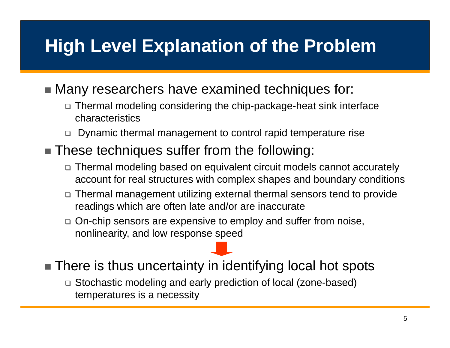# **High Level Explanation of the Problem**

### ■ Many researchers have examined techniques for:

- $\Box$  Thermal modeling considering the chip-package-heat sink interface characteristics
- $\square$ Dynamic thermal management to control rapid temperature rise

## ■ These techniques suffer from the following:

- Thermal modeling based on equivalent circuit models cannot accurately account for real structures with complex shapes and boundary conditions
- $\textcolor{black}{\mathord{\textsf{u}}}$  Thermal management utilizing external thermal sensors tend to provide readings which are often late and/or are inaccurate
- □ On-chip sensors are expensive to employ and suffer from noise, nonlinearity, and low response speed
- There is thus uncertainty in identifying local hot spots
	- Stochastic modeling and early prediction of local (zone-based) temperatures is a necessity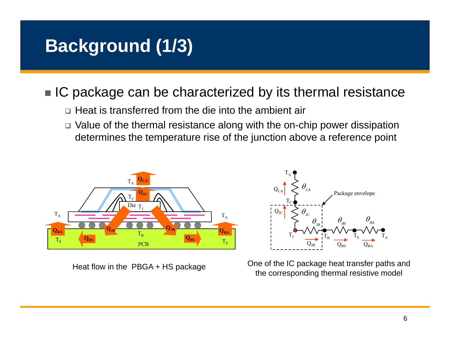# **Background (1/3)**

## ■ IC package can be characterized by its thermal resistance

- $\Box$  Heat is transferred from the die into the ambient air
- Value of the thermal resistance along with the on-chip power dissipation determines the temperature rise of the junction above a reference point





Heat flow in the PBGA + HS package One of the IC package heat transfer paths and<br>the corresponding thermal resistive model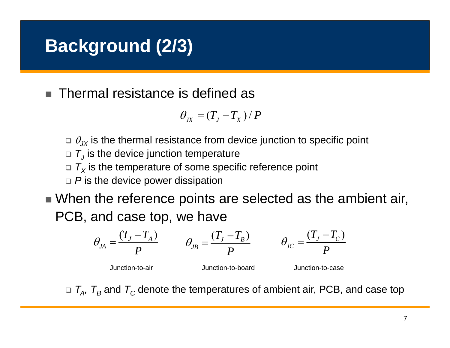# **Background (2/3)**

**Tale** Thermal resistance is defined as

$$
\theta_{JX} = (T_J - T_X) / P
$$

- $\Box$   $\theta_{\mathsf{JX}}$  is the thermal resistance from device junction to specific point
- $\Box$   ${\mathcal T}_J$  is the device junction temperature
- $\Box$   $T_X$  is the temperature of some specific reference point
- *P* is the device power dissipation
- $\blacksquare$  When the reference points are selected as the ambient air, PCB, and case top, we have

$$
\theta_{JA} = \frac{(T_J - T_A)}{P} \qquad \theta_{JB} = \frac{(T_J - T_B)}{P} \qquad \theta_{JC} = \frac{(T_J - T_C)}{P}
$$

Junction-to-air

Junction-to-board Junction-to-case

 $\Box$   $\mathcal{T}_\mathsf{A}$ ,  $\mathcal{T}_\mathsf{B}$  and  $\mathcal{T}_\mathsf{C}$  denote the temperatures of ambient air, PCB, and case top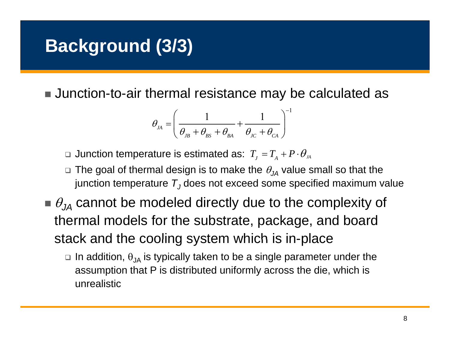# **Background (3/3)**

Junction-to-air thermal resistance may be calculated as

$$
\theta_{\scriptscriptstyle JA} = \left(\frac{1}{\theta_{\scriptscriptstyle JB} + \theta_{\scriptscriptstyle BS} + \theta_{\scriptscriptstyle BA}} + \frac{1}{\theta_{\scriptscriptstyle JC} + \theta_{\scriptscriptstyle CA}}\right)^{-1}
$$

 $□$  Junction temperature is estimated as:  $T_{_J}$  =  $T_{_A}$  +  $P$   $\cdot$   $\theta_{\scriptscriptstyle{J\!A}}$ 

- $\Box$  The goal of thermal design is to make the  $\theta_{\jmath$  value small so that the junction temperature  $\, T_{J}$ does not exceed some specified maximum value
- $\blacksquare$   $\theta_{\jmath\mu}$  cannot be modeled directly due to the complexity of thermal models for the substrate, package, and board stack and the cooling system which is in-place
	- $\Box$  In addition,  $\theta_{\sf JA}$  is typically taken to be a single parameter under the assumption that P is distributed uniformly across the die, which is unrealistic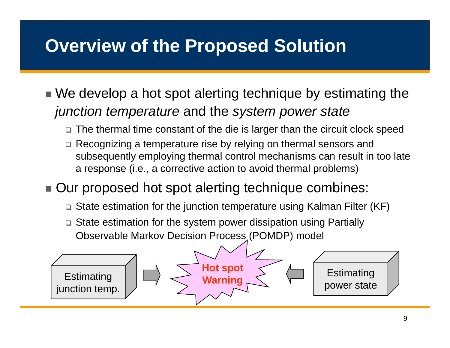# **Overview of the Proposed Solution**

- $\blacksquare$  We develop a hot spot alerting technique by estimating the *junction temperature* and the *system power state* 
	- The thermal time constant of the die is larger than the circuit clock speed
	- Recognizing a temperature rise by relying on thermal sensors and subsequently employing thermal control mechanisms can result in too late a response (i.e., a corrective action to avoid thermal problems)
- Our proposed hot spot alerting technique combines:
	- State estimation for the junction temperature using Kalman Filter (KF)
	- State estimation for the system power dissipation using Partially Observable Markov Decision Process (POMDP) model

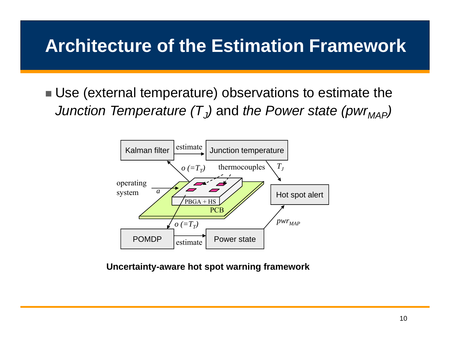# **Architecture of the Estimation Framework**

■ Use (external temperature) observations to estimate the Junction Temperature (T $_J$ ) and the Power state (pwr $_{\mathit{MAP}}$ )



#### **Uncertainty-aware hot spot warning framework**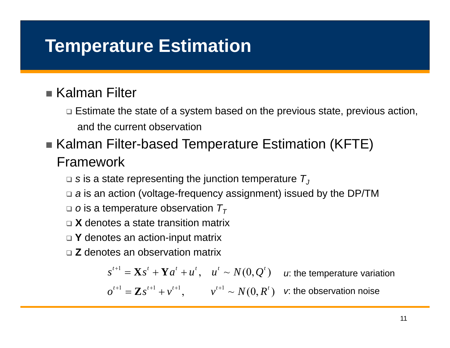# **Temperature Estimation**

## ■ Kalman Filter

- $\Box$  Estimate the state of a system based on the previous state, previous action, and the current observation
- Kalman Filter-based Temperature Estimation (KFTE) Framework
	- $\Box$  s is a state representing the junction temperature  $\mathcal{T}_J$
	- □ *a* is an action (voltage-frequency assignment) issued by the DP/TM
	- $\Box$  *o* is a temperature observation  $\mathcal{T}_{\mathcal{T}}$
	- **X** denotes a state transition matrix
	- □ Y denotes an action-input matrix
	- **Z** denotes an observation matrix

 $s^{t+1} = \mathbf{X} s^t + \mathbf{Y} a^t + u^t, \quad u^t \sim N(0, Q^t) \quad$  u: the temperature variation

 $\overline{\bm{v}}^{t+1} = \mathbf{Z} \overline{\bm{s}}^{t+1} + \overline{\bm{v}}^{t+1}, \qquad \overline{\bm{v}}^{t+1} \sim N(0, R^t) \quad \text{$\bm{\kappa}$ the observation noise}$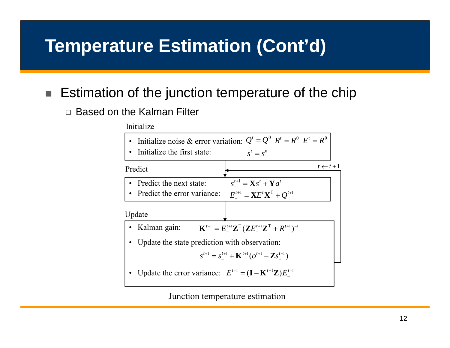# **Temperature Estimation (Cont'd)**

#### ш Estimation of the junction temperature of the chip

□ Based on the Kalman Filter

Initialize



Junction temperature estimation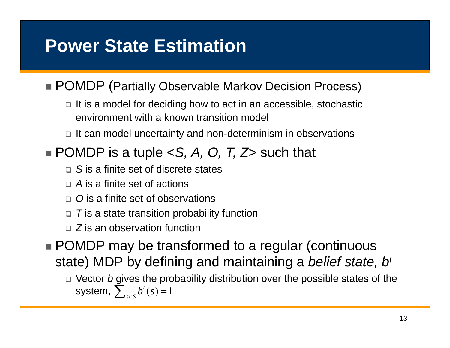# **Power State Estimation**

### ■ POMDP (Partially Observable Markov Decision Process)

 $\Box$  It is a model for deciding how to act in an accessible, stochastic environment with a known transition model

 $\textcolor{orange}\textsf{\texttt{u}}$  it can model uncertainty and non-determinism in observations

## $\blacksquare$  POMDP is a tuple <S, A, O, T, Z> such that

- *S* is a finite set of discrete states
- *A* is a finite set of actions
- □ O is a finite set of observations
- $\textcolor{orange}\textsf{\scriptsize o}\,$  *T* is a state transition probability function
- *Z* is an observation function
- POMDP may be transformed to a regular (continuous state) MDP by defining and maintaining a *belief state, bt*
	- □ Vector *b* gives the probability distribution over the possible states of the  $f(s) = 1$  $\sum_{s\in S}b^{t}(s)$ system,  $\sum_{s} b^t(s) =$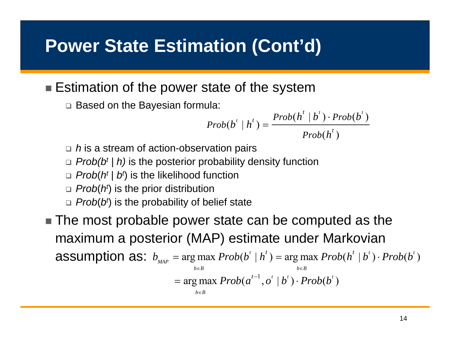## **Power State Estimation (Cont'd)**

### ■ Estimation of the power state of the system

Based on the Bayesian formula:

$$
Prob(b^t | h^t) = \frac{Prob(h^t | b^t) \cdot Prob(b^t)}{Prob(h^t)}
$$

- □ *h* is a stream of action-observation pairs
- *Prob(bt | h)* is the posterior probability density function
- *Prob*(*ht* | *bt*) is the likelihood function
- *Prob*(*ht*) is the prior distribution
- *Prob*(*bt*) is the probability of belief state
- The most probable power state can be computed as the maximum <sup>a</sup> posterior (MAP) estimate under Markovian **assumption as:**  $b_{\text{map}} = \arg \max \ Prob(b^t | h^t) = \arg \max \ Prob(h^t | b^t) \cdot Prob(b^t)$  $\arg\max \mathit{Prob}(a^{t-1}, o^t \mid b^t) \cdot \mathit{Prob}(b^t)$ *MAP* $b \in B$  *b*e *b*  $b_{\text{max}} = \arg \max \text{Prob}(b^t | h^t) = \arg \max \text{Prob}(h^t | b^t) \cdot \text{Prob}(b^t)$  $\in B$  be the set of  $b \in$  $=$  arg max  $Prob(a^{i-1}, o^{\prime} | b^{\prime}) \cdot Prob(b^{\prime})$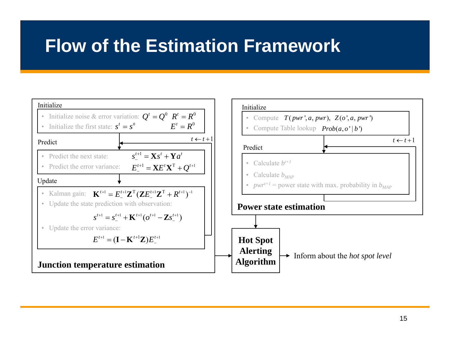## **Flow of the Estimation Framework**

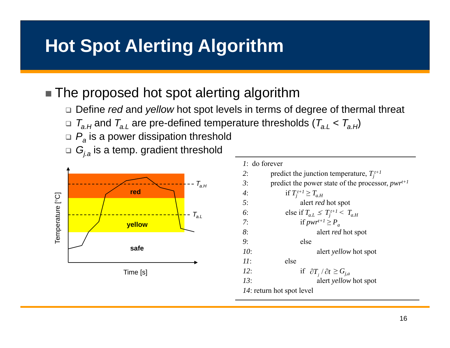# **Hot Spot Alerting Algorithm**

## The proposed hot spot alerting algorithm

- Define *red* and *yellow* hot spot levels in terms of degree of thermal threat
- □  $\mathcal{T}_{a.H}$  and  $\mathcal{T}_{a.L}$  are pre-defined temperature thresholds ( $\mathcal{T}_{a.L}$  <  $\mathcal{T}_{a.H}$ )
- *Pa* is a power dissipation threshold
- □  $G_{j.a}$  is a temp. gradient threshold



| $1:$ do forever           |                                                       |  |  |  |  |  |
|---------------------------|-------------------------------------------------------|--|--|--|--|--|
| 2:                        | predict the junction temperature, $T_i^{t+1}$         |  |  |  |  |  |
| 3:                        | predict the power state of the processor, $pwr^{t+1}$ |  |  |  |  |  |
| $4^{\cdot}$               | if $T_i^{t+1} \geq T_{a,H}$                           |  |  |  |  |  |
| 5:                        | alert <i>red</i> hot spot                             |  |  |  |  |  |
| 6:                        | else if $T_{a,L} \leq T_i^{t+1} < T_{a,H}$            |  |  |  |  |  |
| 7:                        | if $pwr^{t+1} \geq P_a$                               |  |  |  |  |  |
| 8:                        | alert <i>red</i> hot spot                             |  |  |  |  |  |
| 9 <sub>1</sub>            | else                                                  |  |  |  |  |  |
| 10:                       | alert <i>yellow</i> hot spot                          |  |  |  |  |  |
| H:                        | else                                                  |  |  |  |  |  |
| 12:                       | if $\partial T_i / \partial t \ge G_{i,a}$            |  |  |  |  |  |
| 13 <sup>·</sup>           | alert <i>yellow</i> hot spot                          |  |  |  |  |  |
| 14: return hot spot level |                                                       |  |  |  |  |  |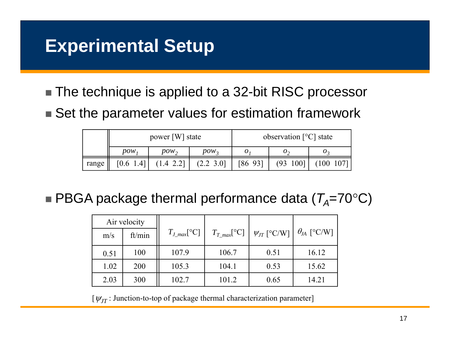# **Experimental Setup**

- The technique is applied to a 32-bit RISC processor
- $\blacksquare$  Set the parameter values for estimation framework

|       | power [W] state |           |               | observation $[°C]$ state |                 |                  |
|-------|-----------------|-----------|---------------|--------------------------|-----------------|------------------|
|       | $pow_1$         | $pow_2$   | $pow_3$       | O 1                      | $\mathcal{O}_2$ | $\boldsymbol{U}$ |
| range | [0.6 1.4]       | (1.4 2.2] | $(2.2 \t3.0)$ | [8693]                   | $(93 \t100]$    | $(100 \t107]$    |

 $\blacksquare$  PBGA package thermal performance data (*T<sub>A</sub>=70°C*)

| Air velocity |        |                   |                   |                    |                      |
|--------------|--------|-------------------|-------------------|--------------------|----------------------|
| m/s          | ft/min | $T_{J\_max}$ [°C] | $T_{T\_max}$ [°C] | $\psi_{JT}$ [°C/W] | $\theta_{JA}$ [°C/W] |
| 0.51         | 100    | 107.9             | 106.7             | 0.51               | 16.12                |
| 1.02         | 200    | 105.3             | 104.1             | 0.53               | 15.62                |
| 2.03         | 300    | 102.7             | 101.2             | 0.65               | 14.21                |

[ $\psi_{JT}$  : Junction-to-top of package thermal characterization parameter]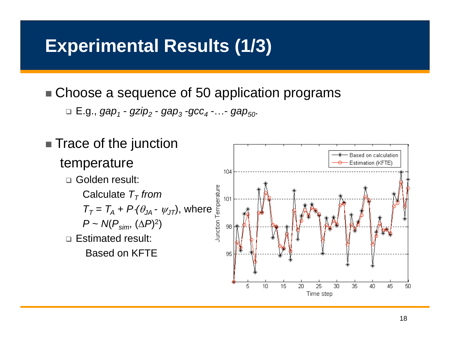# **Experimental Results (1/3)**

■ Choose a sequence of 50 application programs

□ E.g., *gap<sub>1</sub> - gzip<sub>2</sub> - gap<sub>3</sub> -gcc<sub>4</sub> -…- gap<sub>50</sub>.* 

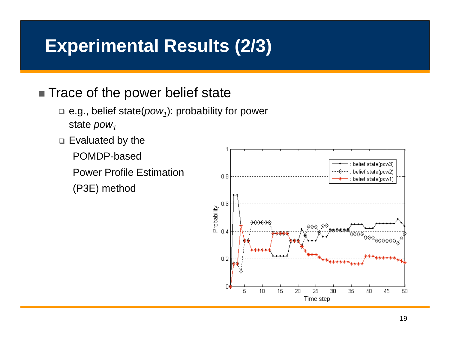# **Experimental Results (2/3)**

## ■ Trace of the power belief state

- □ e.g., belief state(*pow<sub>1</sub>*): probability for power state *pow*<sub>1</sub>
- $\square$  Evaluated by the

POMDP-based

Power Profile Estimation

(P3E) method

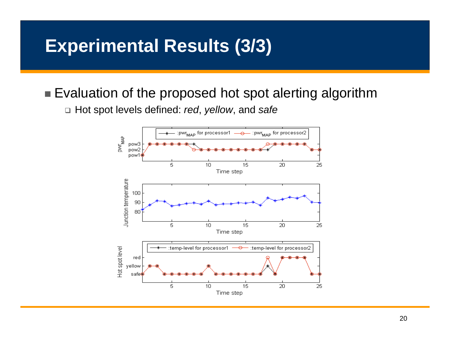# **Experimental Results (3/3)**

## ■ Evaluation of the proposed hot spot alerting algorithm

Hot spot levels defined: *red*, *yellow*, and *safe*